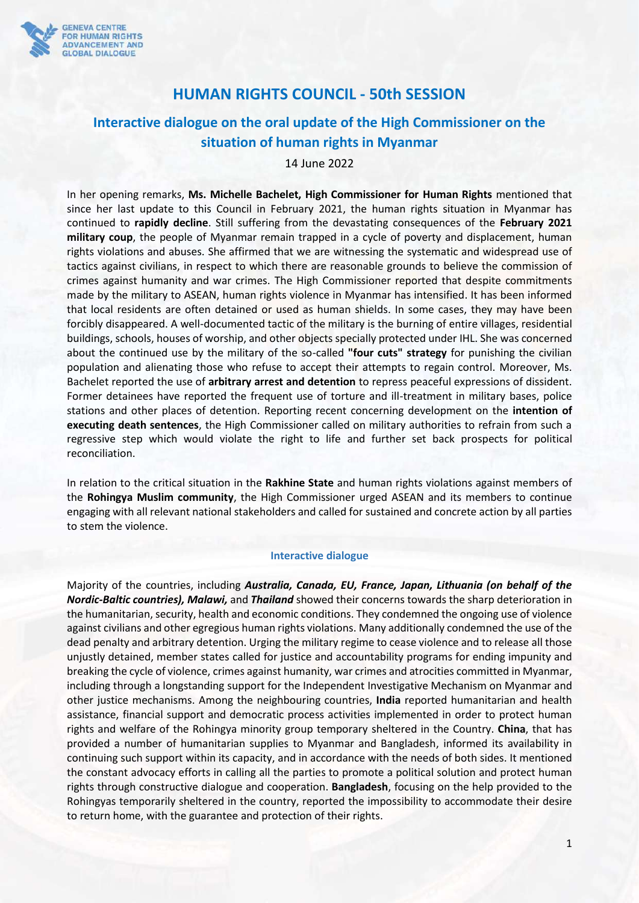

## **HUMAN RIGHTS COUNCIL - 50th SESSION**

## **Interactive dialogue on the oral update of the High Commissioner on the situation of human rights in Myanmar**

## 14 June 2022

In her opening remarks, **Ms. Michelle Bachelet, High Commissioner for Human Rights** mentioned that since her last update to this Council in February 2021, the human rights situation in Myanmar has continued to **rapidly decline**. Still suffering from the devastating consequences of the **February 2021 military coup**, the people of Myanmar remain trapped in a cycle of poverty and displacement, human rights violations and abuses. She affirmed that we are witnessing the systematic and widespread use of tactics against civilians, in respect to which there are reasonable grounds to believe the commission of crimes against humanity and war crimes. The High Commissioner reported that despite commitments made by the military to ASEAN, human rights violence in Myanmar has intensified. It has been informed that local residents are often detained or used as human shields. In some cases, they may have been forcibly disappeared. A well-documented tactic of the military is the burning of entire villages, residential buildings, schools, houses of worship, and other objects specially protected under IHL. She was concerned about the continued use by the military of the so-called **"four cuts" strategy** for punishing the civilian population and alienating those who refuse to accept their attempts to regain control. Moreover, Ms. Bachelet reported the use of **arbitrary arrest and detention** to repress peaceful expressions of dissident. Former detainees have reported the frequent use of torture and ill-treatment in military bases, police stations and other places of detention. Reporting recent concerning development on the **intention of executing death sentences**, the High Commissioner called on military authorities to refrain from such a regressive step which would violate the right to life and further set back prospects for political reconciliation.

In relation to the critical situation in the **Rakhine State** and human rights violations against members of the **Rohingya Muslim community**, the High Commissioner urged ASEAN and its members to continue engaging with all relevant national stakeholders and called for sustained and concrete action by all parties to stem the violence.

## **Interactive dialogue**

Majority of the countries, including *Australia, Canada, EU, France, Japan, Lithuania (on behalf of the Nordic-Baltic countries), Malawi,* and *Thailand* showed their concerns towards the sharp deterioration in the humanitarian, security, health and economic conditions. They condemned the ongoing use of violence against civilians and other egregious human rights violations. Many additionally condemned the use of the dead penalty and arbitrary detention. Urging the military regime to cease violence and to release all those unjustly detained, member states called for justice and accountability programs for ending impunity and breaking the cycle of violence, crimes against humanity, war crimes and atrocities committed in Myanmar, including through a longstanding support for the Independent Investigative Mechanism on Myanmar and other justice mechanisms. Among the neighbouring countries, **India** reported humanitarian and health assistance, financial support and democratic process activities implemented in order to protect human rights and welfare of the Rohingya minority group temporary sheltered in the Country. **China**, that has provided a number of humanitarian supplies to Myanmar and Bangladesh, informed its availability in continuing such support within its capacity, and in accordance with the needs of both sides. It mentioned the constant advocacy efforts in calling all the parties to promote a political solution and protect human rights through constructive dialogue and cooperation. **Bangladesh**, focusing on the help provided to the Rohingyas temporarily sheltered in the country, reported the impossibility to accommodate their desire to return home, with the guarantee and protection of their rights.